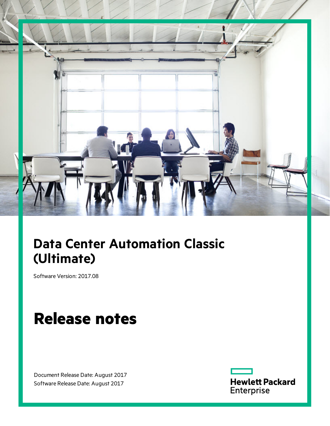

# **Data Center Automation Classic (Ultimate)**

Software Version: 2017.08

# **Release notes**

Document Release Date: August 2017 Software Release Date: August 2017

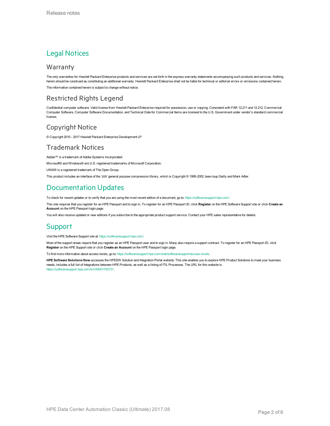### Legal Notices

#### Warranty

The only warranties for Hewlett Packard Enterprise products and services are set forth in the express warranty statements accompanying such products and services. Nothing herein should be construed as constituting an additional warranty. Hewlett Packard Enterprise shall not be liable for technical or editorial errors or omissions contained herein. The information contained herein is subject to change without notice.

#### Restricted Rights Legend

Confidential computer software. Valid license from Hewlett Packard Enterprise required for possession, use or copying. Consistent with FAR 12.211 and 12.212, Commercial Computer Software, Computer Software Documentation, and Technical Data for Commercial Items are licensed to the U.S. Government under vendor's standard commercial license.

#### Copyright Notice

© Copyright 2015 - 2017 Hewlett Packard Enterprise Development LP

#### Trademark Notices

Adobe™ is a trademark of Adobe Systems Incorporated.

Microsoft® and Windows® are U.S. registered trademarks of Microsoft Corporation.

UNIX® is a registered trademark of The Open Group.

This product includes an interface of the 'zlib' general purpose compression library, which is Copyright © 1995-2002 Jean-loup Gailly and Mark Adler.

### Documentation Updates

To check for recent updates or to verify that you are using the most recent edition of a document, go to: <https://softwaresupport.hpe.com/>.

This site requires that you register for an HPE Passport and to sign in. To register for an HPE Passport ID, click **Register** on the HPE Software Support site or click **Create an Account** on the HPE Passport login page.

You will also receive updated or new editions if you subscribe to the appropriate product support service. Contact your HPE sales representative for details.

#### Support

Visit the HPE Software Support site at: <https://softwaresupport.hpe.com/>.

Most of the support areas require that you register as an HPE Passport user and to sign in. Many also require a support contract. To register for an HPE Passport ID, click **Register** on the HPE Support site or click **Create an Account** on the HPE Passport login page.

To find more information about access levels, go to: <https://softwaresupport.hpe.com/web/softwaresupport/access-levels>.

**HPE Software Solutions Now** accesses the HPESW Solution and Integration Portal website. This site enables you to explore HPE Product Solutions to meet your business needs, includes a full list of Integrations between HPE Products, as well as a listing of ITIL Processes. The URL for this website is [https://softwaresupport.hpe.com/km/KM01702731.](https://softwaresupport.hpe.com/km/KM01702731)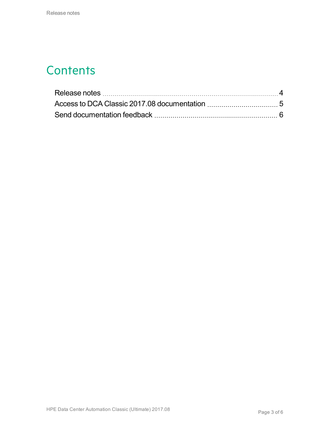### **Contents**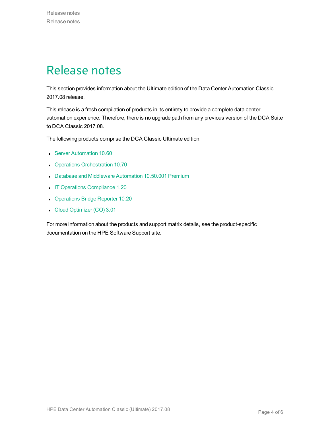### <span id="page-3-0"></span>Release notes

This section provides information about the Ultimate edition of the Data Center Automation Classic 2017.08 release.

This release is a fresh compilation of products in its entirety to provide a complete data center automation experience. Therefore, there is no upgrade path from any previous version of the DCA Suite to DCA Classic 2017.08.

The following products comprise the DCA Classic Ultimate edition:

- **.** Server [Automation](https://docs.software.hpe.com/SA/10.60/Content/Release_Notes/release_notes.htm) 10.60
- Operations [Orchestration](http://docs.software.hpe.com/OO/10.70/Content/ReleaseNotes_Welcome.htm) 10.70
- Database and [Middleware](https://docs.software.hpe.com/DMA/10.50.001/Premium/Content/Home.htm) Automation 10.50.001 Premium
- IT Operations [Compliance](http://docs.software.hpe.com/ITOC/1.20/Content/ITOC_Content/release_notes_cover_page.htm) 1.20
- [Operations](https://docs.software.hpe.com/OBR/10.20/Content/Home.htm) Bridge Reporter 10.20
- Cloud [Optimizer](http://docs.software.hpe.com/CO/3.01/Content/ReleaseNotes1.htm) (CO) 3.01

For more information about the products and support matrix details, see the product-specific documentation on the HPE Software Support site.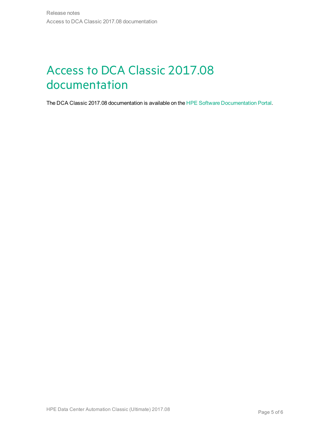# <span id="page-4-0"></span>Access to DCA Classic 2017.08 documentation

The DCA Classic 2017.08 documentation is available on the HPE Software [Documentation](https://docs.software.hpe.com/DCA/2017.08/Content/Home.htm) Portal.